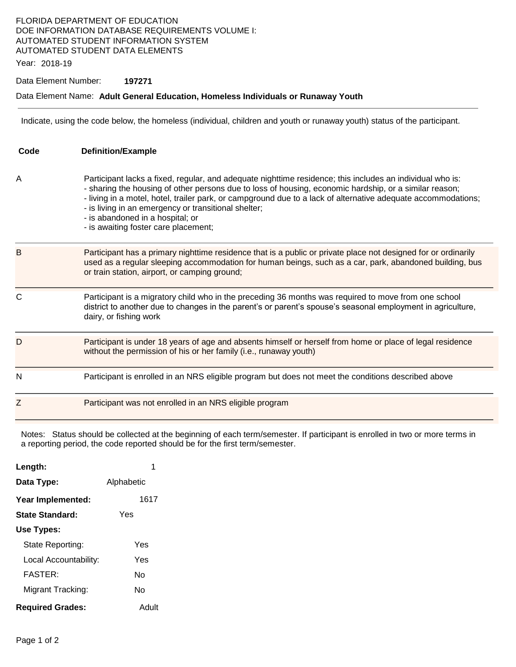### FLORIDA DEPARTMENT OF EDUCATION DOE INFORMATION DATABASE REQUIREMENTS VOLUME I: AUTOMATED STUDENT INFORMATION SYSTEM AUTOMATED STUDENT DATA ELEMENTS

Year: 2018-19

#### Data Element Number: **197271**

### Data Element Name: **Adult General Education, Homeless Individuals or Runaway Youth**

Indicate, using the code below, the homeless (individual, children and youth or runaway youth) status of the participant.

| Code | <b>Definition/Example</b>                                                                                                                                                                                                                                                                                                                                                                                                                                                |
|------|--------------------------------------------------------------------------------------------------------------------------------------------------------------------------------------------------------------------------------------------------------------------------------------------------------------------------------------------------------------------------------------------------------------------------------------------------------------------------|
| A    | Participant lacks a fixed, regular, and adequate nighttime residence; this includes an individual who is:<br>- sharing the housing of other persons due to loss of housing, economic hardship, or a similar reason;<br>- living in a motel, hotel, trailer park, or campground due to a lack of alternative adequate accommodations;<br>- is living in an emergency or transitional shelter;<br>- is abandoned in a hospital; or<br>- is awaiting foster care placement; |
| B    | Participant has a primary nighttime residence that is a public or private place not designed for or ordinarily<br>used as a regular sleeping accommodation for human beings, such as a car, park, abandoned building, bus<br>or train station, airport, or camping ground;                                                                                                                                                                                               |
| C    | Participant is a migratory child who in the preceding 36 months was required to move from one school<br>district to another due to changes in the parent's or parent's spouse's seasonal employment in agriculture,<br>dairy, or fishing work                                                                                                                                                                                                                            |
| D    | Participant is under 18 years of age and absents himself or herself from home or place of legal residence<br>without the permission of his or her family (i.e., runaway youth)                                                                                                                                                                                                                                                                                           |
| N    | Participant is enrolled in an NRS eligible program but does not meet the conditions described above                                                                                                                                                                                                                                                                                                                                                                      |
| Z    | Participant was not enrolled in an NRS eligible program                                                                                                                                                                                                                                                                                                                                                                                                                  |

Notes: Status should be collected at the beginning of each term/semester. If participant is enrolled in two or more terms in a reporting period, the code reported should be for the first term/semester.

| Length:                 |            |
|-------------------------|------------|
| Data Type:              | Alphabetic |
| Year Implemented:       | 1617       |
| State Standard:         | Yes        |
| Use Types:              |            |
| State Reporting:        | Yes        |
| Local Accountability:   | Yes        |
| <b>FASTER:</b>          | N٥         |
| Migrant Tracking:       | N٥         |
| <b>Required Grades:</b> | Adult      |